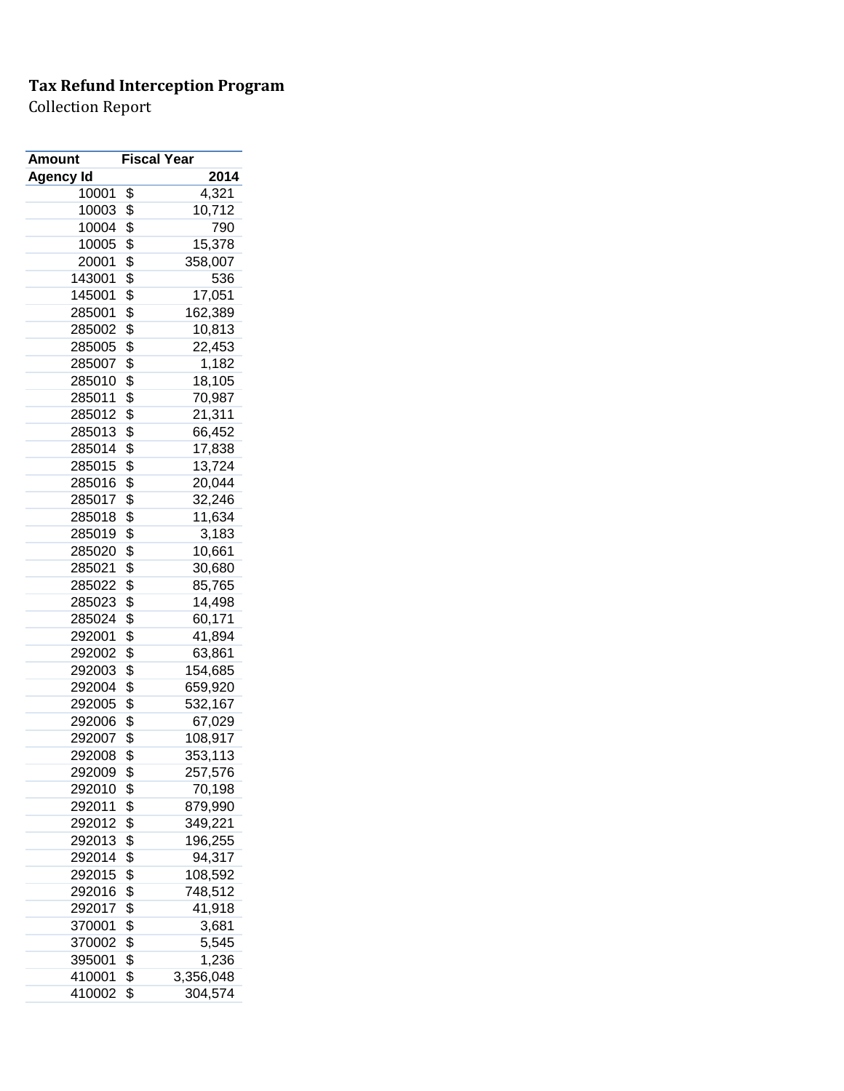| <b>Amount</b> | <b>Fiscal Year</b> |
|---------------|--------------------|
| Agency Id     | 2014               |
| 10001         | \$<br>4,321        |
| 10003         | \$<br>10,712       |
| 10004         | \$<br>790          |
| 10005         | \$<br>15,378       |
| 20001         | \$<br>358,007      |
| 143001        | \$<br>536          |
| 145001        | \$<br>17,051       |
| 285001        | \$<br>162,389      |
| 285002        | \$<br>10,813       |
| 285005        | \$<br>22,453       |
| 285007        | \$<br>1,182        |
| 285010        | \$<br>18,105       |
| 285011        | \$<br>70,987       |
| 285012        | \$<br>21,311       |
| 285013        | \$<br>66,452       |
| 285014        | \$<br>17,838       |
| 285015        | \$<br>13,724       |
| 285016        | \$<br>20,044       |
| 285017        | \$<br>32,246       |
| 285018        | \$<br>11,634       |
| 285019        | \$<br>3,183        |
| 285020        | \$<br>10,661       |
| 285021        | \$<br>30,680       |
| 285022        | \$<br>85,765       |
| 285023        | \$<br>14,498       |
| 285024        | \$<br>60,171       |
| 292001        | \$<br>41,894       |
| 292002        | \$<br>63,861       |
| 292003        | \$<br>154,685      |
| 292004        | \$<br>659,920      |
| 292005        | \$<br>532,167      |
| 292006        | \$<br>67,029       |
| 292007        | \$<br>108,917      |
| 292008        | \$<br>353,113      |
| 292009        | \$<br>257,576      |
| 292010        | \$<br>70,198       |
| 292011        | \$<br>879,990      |
| 292012        | \$<br>349,221      |
| 292013        | \$<br>196,255      |
| 292014        | \$<br>94,317       |
| 292015        | \$<br>108,592      |
| 292016        | \$<br>748,512      |
| 292017        | \$<br>41,918       |
| 370001        | \$<br>3,681        |
| 370002        | \$<br>5,545        |
| 395001        | \$<br>1,236        |
| 410001        | \$<br>3,356,048    |
| 410002        | \$<br>304,574      |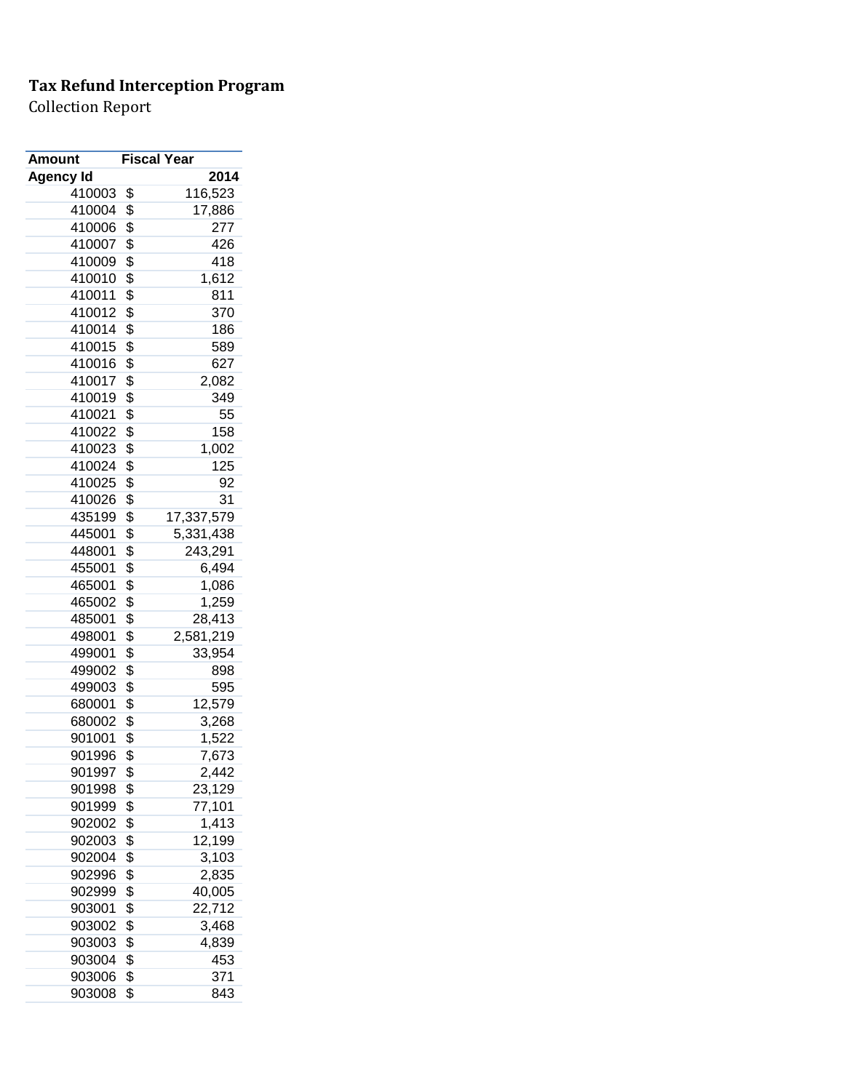| Amount           | <b>Fiscal Year</b> |            |
|------------------|--------------------|------------|
| <b>Agency Id</b> |                    | 2014       |
| 410003           | \$                 | 116,523    |
| 410004           | \$                 | 17,886     |
| 410006           | \$                 | 277        |
| 410007           | \$                 | 426        |
| 410009           | \$                 | 418        |
| 410010           | \$                 | 1,612      |
| 410011           | \$                 | 811        |
| 410012           | \$                 | 370        |
| 410014           | \$                 | 186        |
| 410015           | \$                 | 589        |
| 410016           | \$                 | 627        |
| 410017           | \$                 | 2,082      |
| 410019           | \$                 | 349        |
| 410021           | \$                 | 55         |
| 410022           | \$                 | 158        |
| 410023           | \$                 | 1,002      |
| 410024           | \$                 | 125        |
| 410025           | \$                 | 92         |
| 410026           | \$                 | 31         |
| 435199           | \$                 | 17,337,579 |
| 445001           | \$                 | 5,331,438  |
| 448001           | \$                 | 243,291    |
| 455001           | \$                 | 6,494      |
| 465001           | \$                 | 1,086      |
| 465002           | \$                 | 1,259      |
| 485001           | \$                 | 28,413     |
| 498001           | \$                 | 2,581,219  |
| 499001           | \$                 | 33,954     |
| 499002           | \$                 | 898        |
| 499003           | \$                 | 595        |
| 680001           | \$                 | 12,579     |
| 680002           | \$                 | 3,268      |
| 901001           | \$                 | 1,522      |
| 901996           | \$                 | 7,673      |
| 901997           | \$                 | 2,442      |
| 901998           | \$                 | 23,129     |
| 901999           | \$                 | 77,101     |
| 902002           | \$                 | 1,413      |
| 902003           | \$                 | 12,199     |
| 902004           | \$                 | 3,103      |
| 902996           | \$                 | 2,835      |
| 902999           | \$                 | 40,005     |
| 903001           | \$                 | 22,712     |
| 903002           | \$                 | 3,468      |
| 903003           | \$                 | 4,839      |
| 903004           | \$                 | 453        |
| 903006           | \$                 | 371        |
| 903008           | \$                 | 843        |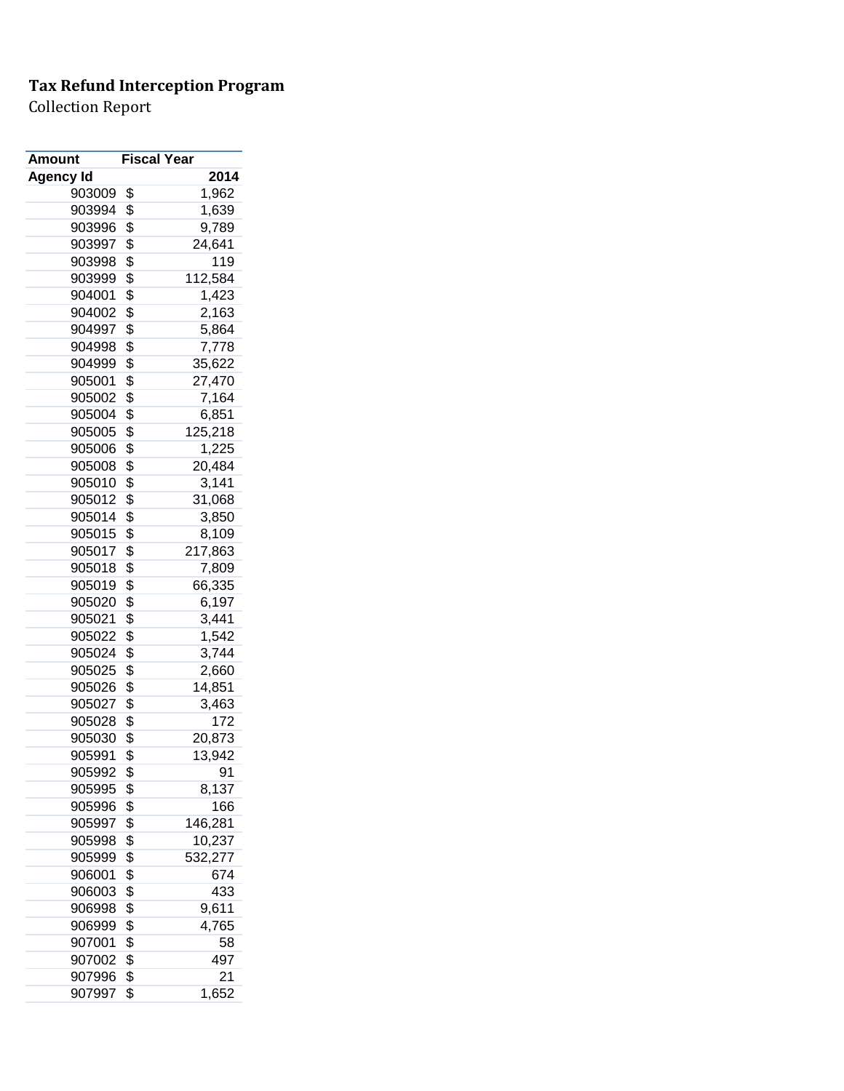| Amount           | <b>Fiscal Year</b> |         |
|------------------|--------------------|---------|
| <b>Agency Id</b> |                    | 2014    |
| 903009           | \$                 | 1,962   |
| 903994           | \$                 | 1,639   |
| 903996           | \$                 | 9,789   |
| 903997           | \$                 | 24,641  |
| 903998           | \$                 | 119     |
| 903999           | \$                 | 112,584 |
| 904001           | \$                 | 1,423   |
| 904002           | \$                 | 2,163   |
| 904997           | \$                 | 5,864   |
| 904998           | \$                 | 7,778   |
| 904999           | \$                 | 35,622  |
| 905001           | \$                 | 27,470  |
| 905002           | \$                 | 7,164   |
| 905004           | \$                 | 6,851   |
| 905005           | \$                 | 125,218 |
| 905006           | \$                 | 1,225   |
| 905008           | \$                 | 20,484  |
| 905010           | \$                 | 3,141   |
| 905012           | \$                 | 31,068  |
| 905014           | \$                 | 3,850   |
| 905015           | \$                 | 8,109   |
| 905017           | \$                 | 217,863 |
| 905018           | \$                 | 7,809   |
| 905019           | \$                 | 66,335  |
| 905020           | \$                 | 6,197   |
| 905021           | \$                 | 3,441   |
| 905022           | \$                 | 1,542   |
| 905024           | \$                 | 3,744   |
| 905025           | \$                 | 2,660   |
| 905026           | \$                 | 14,851  |
| 905027           | \$                 | 3,463   |
| 905028           | \$                 | 172     |
| 905030           | \$                 | 20,873  |
| 905991           | \$                 | 13,942  |
| 905992           | \$                 | 91      |
| 905995           | \$                 | 8,137   |
| 905996           | \$                 | 166     |
| 905997           | \$                 | 146,281 |
| 905998           | \$                 | 10,237  |
| 905999           | \$                 | 532,277 |
| 906001           | \$                 | 674     |
| 906003           | \$                 | 433     |
| 906998           | \$                 | 9,611   |
| 906999           | \$                 | 4,765   |
| 907001           | \$                 | 58      |
| 907002           | \$                 | 497     |
| 907996           | \$                 | 21      |
| 907997           | \$                 | 1,652   |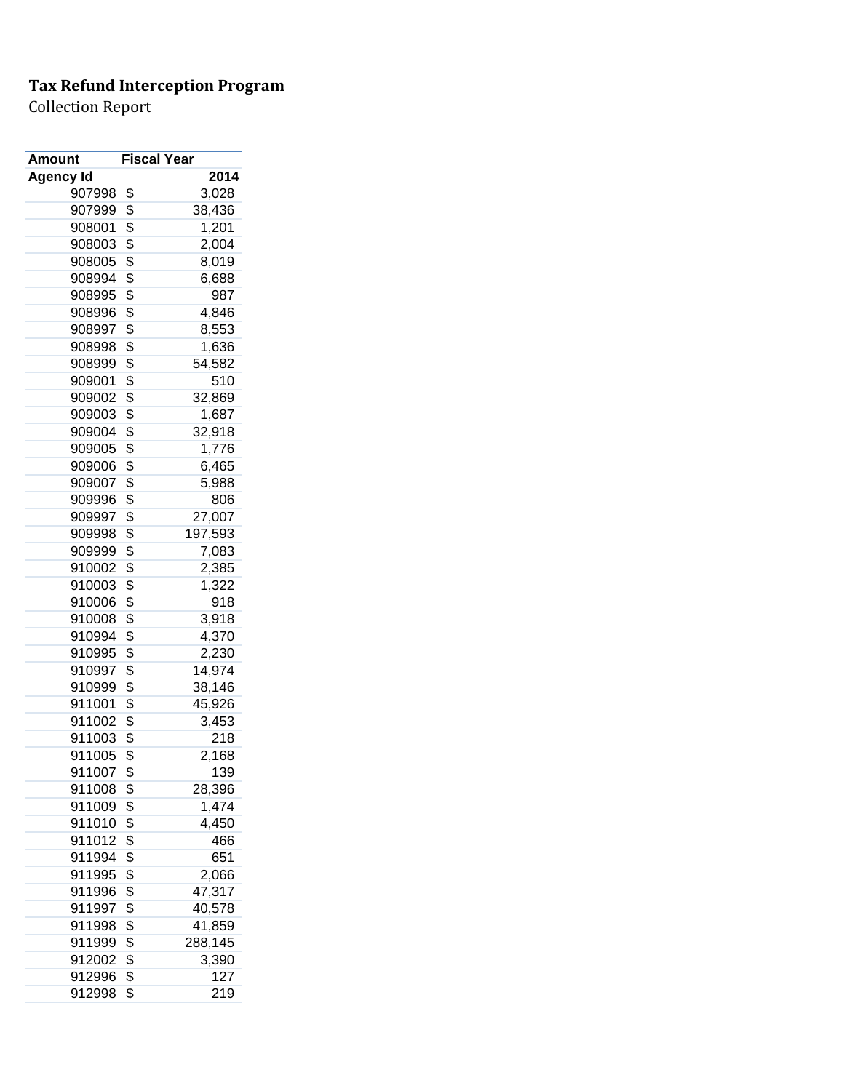| Amount           | <b>Fiscal Year</b> |         |
|------------------|--------------------|---------|
| <b>Agency Id</b> |                    | 2014    |
| 907998           | \$                 | 3,028   |
| 907999           | \$                 | 38,436  |
| 908001           | \$                 | 1,201   |
| 908003           | \$                 | 2,004   |
| 908005           | \$                 | 8,019   |
| 908994           | \$                 | 6,688   |
| 908995           | \$                 | 987     |
| 908996           | \$                 | 4,846   |
| 908997           | \$                 | 8,553   |
| 908998           | \$                 | 1,636   |
| 908999           | \$                 | 54,582  |
| 909001           | \$                 | 510     |
| 909002           | \$                 | 32,869  |
| 909003           | \$                 | 1,687   |
| 909004           | \$                 | 32,918  |
| 909005           | \$                 | 1,776   |
| 909006           | \$                 | 6,465   |
| 909007           | \$                 | 5,988   |
| 909996           | \$                 | 806     |
| 909997           | \$                 | 27,007  |
| 909998           | \$                 | 197,593 |
| 909999           | \$                 | 7,083   |
| 910002           | \$                 | 2,385   |
| 910003           | \$                 | 1,322   |
| 910006           | \$                 | 918     |
| 910008           | \$                 | 3,918   |
| 910994           | \$                 | 4,370   |
| 910995           | \$                 | 2,230   |
| 910997           | \$                 | 14,974  |
| 910999           | \$                 | 38,146  |
| 911001           | \$                 | 45,926  |
| 911002           | \$                 | 3,453   |
| 911003           | \$                 | 218     |
| 911005           | \$                 | 2,168   |
| 911007           | \$                 | 139     |
| 911008           | \$                 | 28,396  |
| 911009           | \$                 | 1,474   |
| 911010           | \$                 | 4,450   |
| 911012           | \$                 | 466     |
| 911994           | \$                 | 651     |
| 911995           | \$                 | 2,066   |
| 911996           | \$                 | 47,317  |
| 911997           | \$                 | 40,578  |
| 911998           | \$                 | 41,859  |
| 911999           | \$                 | 288,145 |
| 912002           | \$                 | 3,390   |
| 912996           | \$                 | 127     |
| 912998           | \$                 | 219     |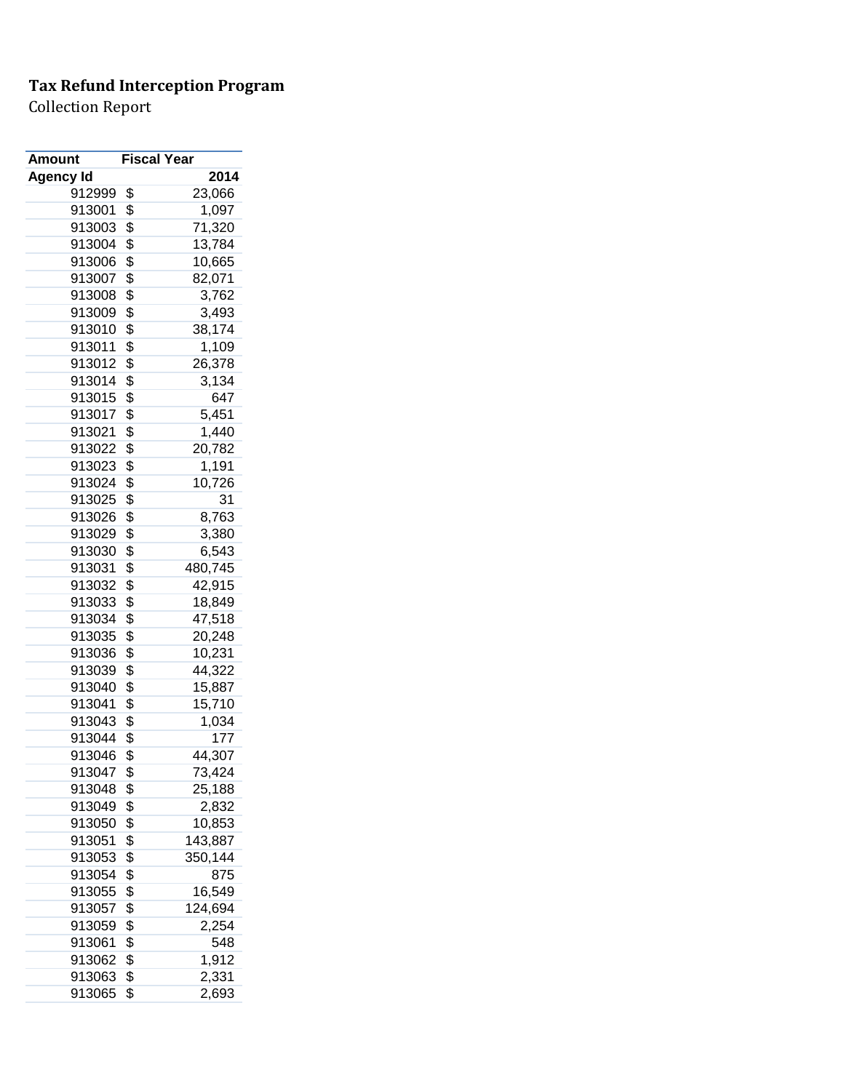| Amount           | <b>Fiscal Year</b> |         |
|------------------|--------------------|---------|
| <b>Agency Id</b> |                    | 2014    |
| 912999           | \$                 | 23,066  |
| 913001           | \$                 | 1,097   |
| 913003           | \$                 | 71,320  |
| 913004           | \$                 | 13,784  |
| 913006           | \$                 | 10,665  |
| 913007           | \$                 | 82,071  |
| 913008           | \$                 | 3,762   |
| 913009           | \$                 | 3,493   |
| 913010           | \$                 | 38,174  |
| 913011           | \$                 | 1,109   |
| 913012           | \$                 | 26,378  |
| 913014           | \$                 | 3,134   |
| 913015           | \$                 | 647     |
| 913017           | \$                 | 5,451   |
| 913021           | \$                 | 1,440   |
| 913022           | \$                 | 20,782  |
| 913023           | \$                 | 1,191   |
| 913024           | \$                 | 10,726  |
| 913025           | \$                 | 31      |
| 913026           | \$                 | 8,763   |
| 913029           | \$                 | 3,380   |
| 913030           | \$                 | 6,543   |
| 913031           | \$                 | 480,745 |
| 913032           | \$                 | 42,915  |
| 913033           | \$                 | 18,849  |
| 913034           | \$                 | 47,518  |
| 913035           | \$                 | 20,248  |
| 913036           | \$                 | 10,231  |
| 913039           | \$                 | 44,322  |
| 913040           | \$                 | 15,887  |
| 913041           | \$                 | 15,710  |
| 913043           | \$                 | 1,034   |
| 913044           | \$                 | 177     |
| 913046           | \$                 | 44,307  |
| 913047           | \$                 | 73,424  |
| 913048           | \$                 | 25,188  |
| 913049           | \$                 | 2,832   |
| 913050           | \$                 | 10,853  |
| 913051           | \$                 | 143,887 |
| 913053           | \$                 | 350,144 |
| 913054           | \$                 | 875     |
| 913055           | \$                 | 16,549  |
| 913057           | \$                 | 124,694 |
| 913059           | \$                 | 2,254   |
| 913061           | \$                 | 548     |
| 913062           | \$                 | 1,912   |
| 913063           | \$                 | 2,331   |
| 913065           | \$                 | 2,693   |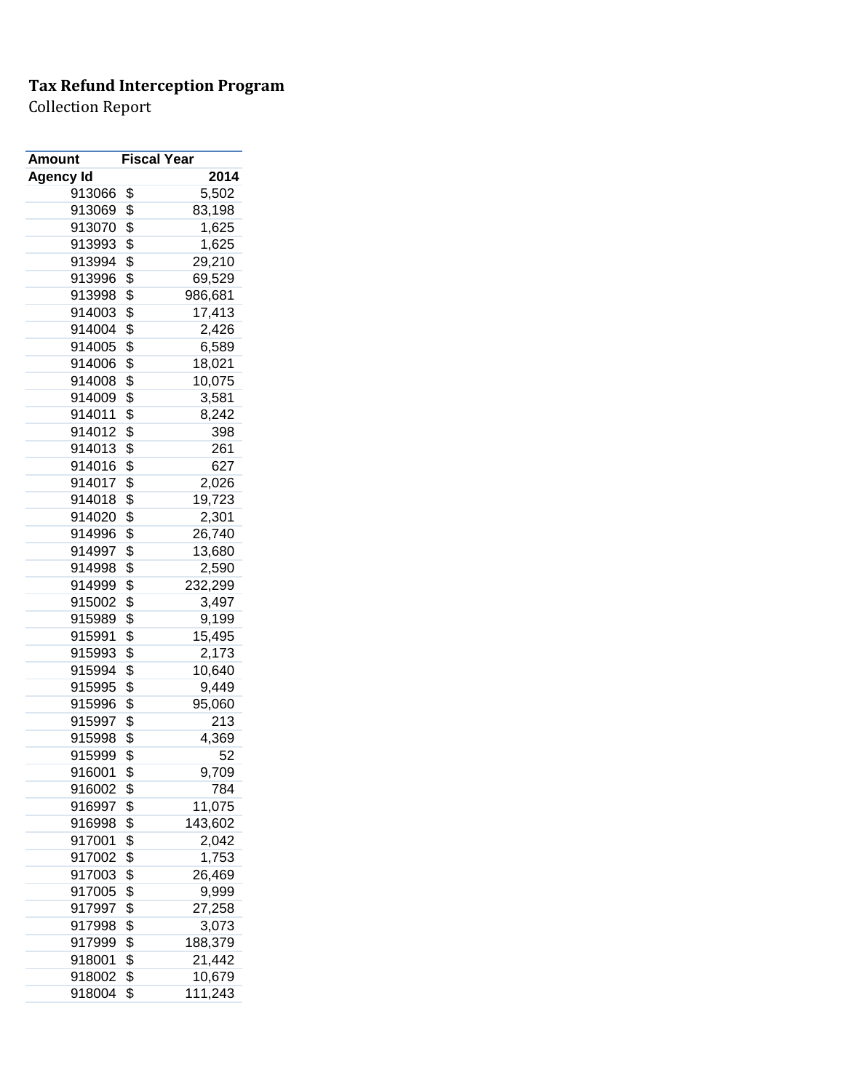| Amount           | <b>Fiscal Year</b> |         |
|------------------|--------------------|---------|
| <b>Agency Id</b> |                    | 2014    |
| 913066           | \$                 | 5,502   |
| 913069           | \$                 | 83,198  |
| 913070           | \$                 | 1,625   |
| 913993           | \$                 | 1,625   |
| 913994           | \$                 | 29,210  |
| 913996           | \$                 | 69,529  |
| 913998           | \$                 | 986,681 |
| 914003           | \$                 | 17,413  |
| 914004           | \$                 | 2,426   |
| 914005           | \$                 | 6,589   |
| 914006           | \$                 | 18,021  |
| 914008           | \$                 | 10,075  |
| 914009           | \$                 | 3,581   |
| 914011           | \$                 | 8,242   |
| 914012           | \$                 | 398     |
| 914013           | \$                 | 261     |
| 914016           | \$                 | 627     |
| 914017           | \$                 | 2,026   |
| 914018           | \$                 | 19,723  |
| 914020           | \$                 | 2,301   |
| 914996           | \$                 | 26,740  |
| 914997           | \$                 | 13,680  |
| 914998           | \$                 | 2,590   |
| 914999           | \$                 | 232,299 |
| 915002           | \$                 | 3,497   |
| 915989           | \$                 | 9,199   |
| 915991           | \$                 | 15,495  |
| 915993           | \$                 | 2,173   |
| 915994           | \$                 | 10,640  |
| 915995           | \$                 | 9,449   |
| 915996           | \$                 | 95,060  |
| 915997           | \$                 | 213     |
| 915998           | \$                 | 4,369   |
| 915999           | \$                 | 52      |
| 916001           | \$                 | 9,709   |
| 916002           | \$                 | 784     |
| 916997           | \$                 | 11,075  |
| 916998           | \$                 | 143,602 |
| 917001           | \$                 | 2,042   |
| 917002           | \$                 | 1,753   |
| 917003           | \$                 | 26,469  |
| 917005           | \$                 | 9,999   |
| 917997           | \$                 | 27,258  |
| 917998           | \$                 | 3,073   |
| 917999           | \$                 | 188,379 |
| 918001           | \$                 | 21,442  |
| 918002           | \$                 | 10,679  |
| 918004           | \$                 | 111,243 |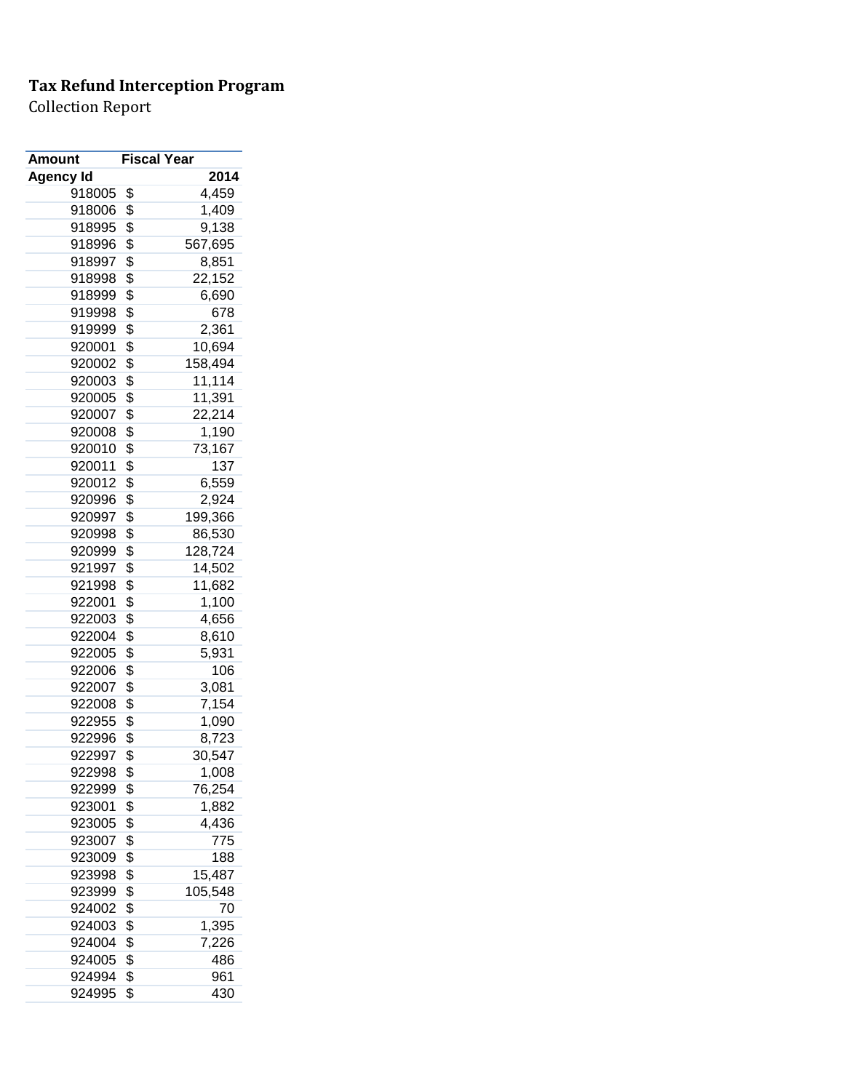| Amount           | <b>Fiscal Year</b> |         |
|------------------|--------------------|---------|
| <b>Agency Id</b> |                    | 2014    |
| 918005           | \$                 | 4,459   |
| 918006           | \$                 | 1,409   |
| 918995           | \$                 | 9,138   |
| 918996           | \$                 | 567,695 |
| 918997           | \$                 | 8,851   |
| 918998           | \$                 | 22,152  |
| 918999           | \$                 | 6,690   |
| 919998           | \$                 | 678     |
| 919999           | \$                 | 2,361   |
| 920001           | \$                 | 10,694  |
| 920002           | \$                 | 158,494 |
| 920003           | \$                 | 11,114  |
| 920005           | \$                 | 11,391  |
| 920007           | \$                 | 22,214  |
| 920008           | \$                 | 1,190   |
| 920010           | \$                 | 73,167  |
| 920011           | \$                 | 137     |
| 920012           | \$                 | 6,559   |
| 920996           | \$                 | 2,924   |
| 920997           | \$                 | 199,366 |
| 920998           | \$                 | 86,530  |
| 920999           | \$                 | 128,724 |
| 921997           | \$                 | 14,502  |
| 921998           | \$                 | 11,682  |
| 922001           | \$                 | 1,100   |
| 922003           | \$                 | 4,656   |
| 922004           | \$                 | 8,610   |
| 922005           | \$                 | 5,931   |
| 922006           | \$                 | 106     |
| 922007           | \$                 | 3,081   |
| 922008           | \$                 | 7,154   |
| 922955           | \$                 | 1,090   |
| 922996           | \$                 | 8,723   |
| 922997           | \$                 | 30,547  |
| 922998           | \$                 | 1,008   |
| 922999           | \$                 | 76,254  |
| 923001           | \$                 | 1,882   |
| 923005           | \$                 | 4,436   |
| 923007           | \$                 | 775     |
| 923009           | \$                 | 188     |
| 923998           | \$                 | 15,487  |
| 923999           | \$                 | 105,548 |
| 924002           | \$                 | 70      |
| 924003           | \$                 | 1,395   |
| 924004           | \$                 | 7,226   |
| 924005           | \$                 | 486     |
| 924994           | \$                 | 961     |
| 924995           | \$                 | 430     |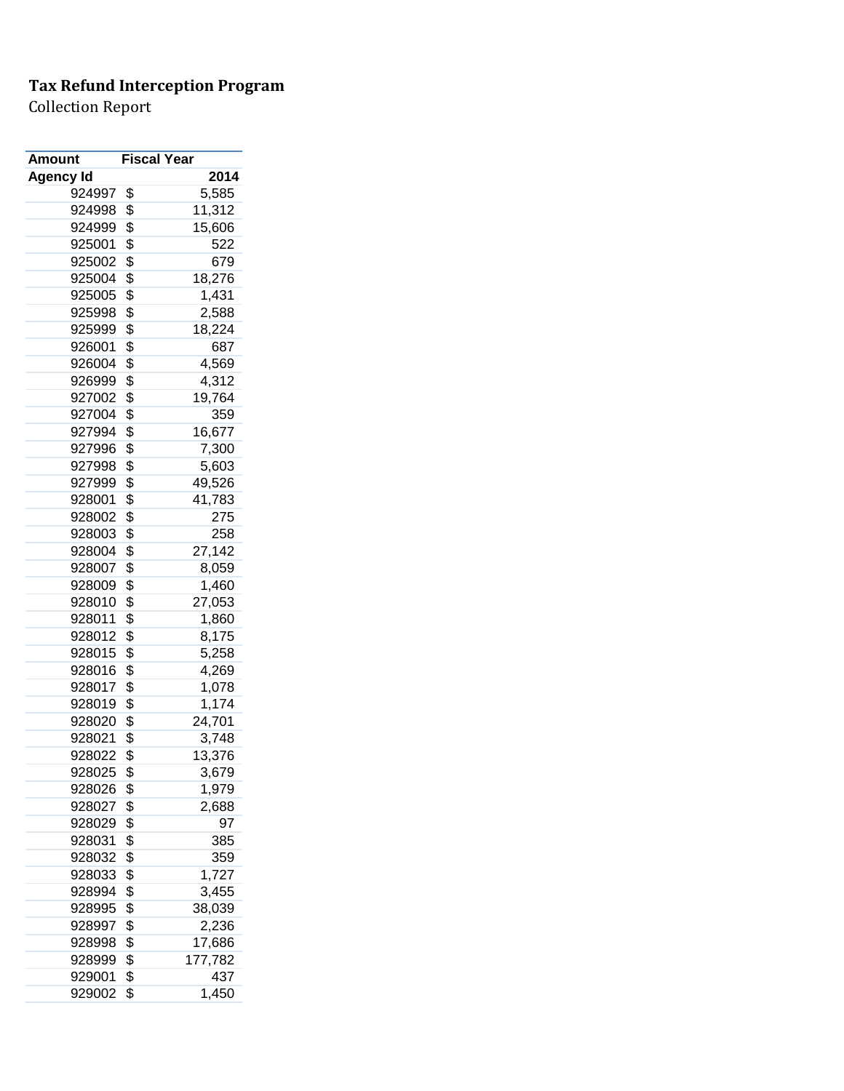| Amount           | <b>Fiscal Year</b> |         |
|------------------|--------------------|---------|
| <b>Agency Id</b> |                    | 2014    |
| 924997           | \$                 | 5,585   |
| 924998           | \$                 | 11,312  |
| 924999           | \$                 | 15,606  |
| 925001           | \$                 | 522     |
| 925002           | \$                 | 679     |
| 925004           | \$                 | 18,276  |
| 925005           | \$                 | 1,431   |
| 925998           | \$                 | 2,588   |
| 925999           | \$                 | 18,224  |
| 926001           | \$                 | 687     |
| 926004           | \$                 | 4,569   |
| 926999           | \$                 | 4,312   |
| 927002           | \$                 | 19,764  |
| 927004           | \$                 | 359     |
| 927994           | \$                 | 16,677  |
| 927996           | \$                 | 7,300   |
| 927998           | \$                 | 5,603   |
| 927999           | \$                 | 49,526  |
| 928001           | \$                 | 41,783  |
| 928002           | \$                 | 275     |
| 928003           | \$                 | 258     |
| 928004           | \$                 | 27,142  |
| 928007           | \$                 | 8,059   |
| 928009           | \$                 |         |
| 928010           | \$                 | 1,460   |
|                  |                    | 27,053  |
| 928011           | \$                 | 1,860   |
| 928012           | \$                 | 8,175   |
| 928015           | \$                 | 5,258   |
| 928016           | \$                 | 4,269   |
| 928017           | \$                 | 1,078   |
| 928019           | \$                 | 1,174   |
| 928020           | \$                 | 24,701  |
| 928021           | \$                 | 3,748   |
| 928022           | \$                 | 13,376  |
| 928025           | \$                 | 3,679   |
| 928026           | \$                 | 1,979   |
| 928027           | \$                 | 2,688   |
| 928029           | \$                 | 97      |
| 928031           | \$                 | 385     |
| 928032           | \$                 | 359     |
| 928033           | \$                 | 1,727   |
| 928994           | \$                 | 3,455   |
| 928995           | \$                 | 38,039  |
| 928997           | \$                 | 2,236   |
| 928998           | \$                 | 17,686  |
| 928999           | \$                 | 177,782 |
| 929001           | \$                 | 437     |
| 929002           | \$                 | 1,450   |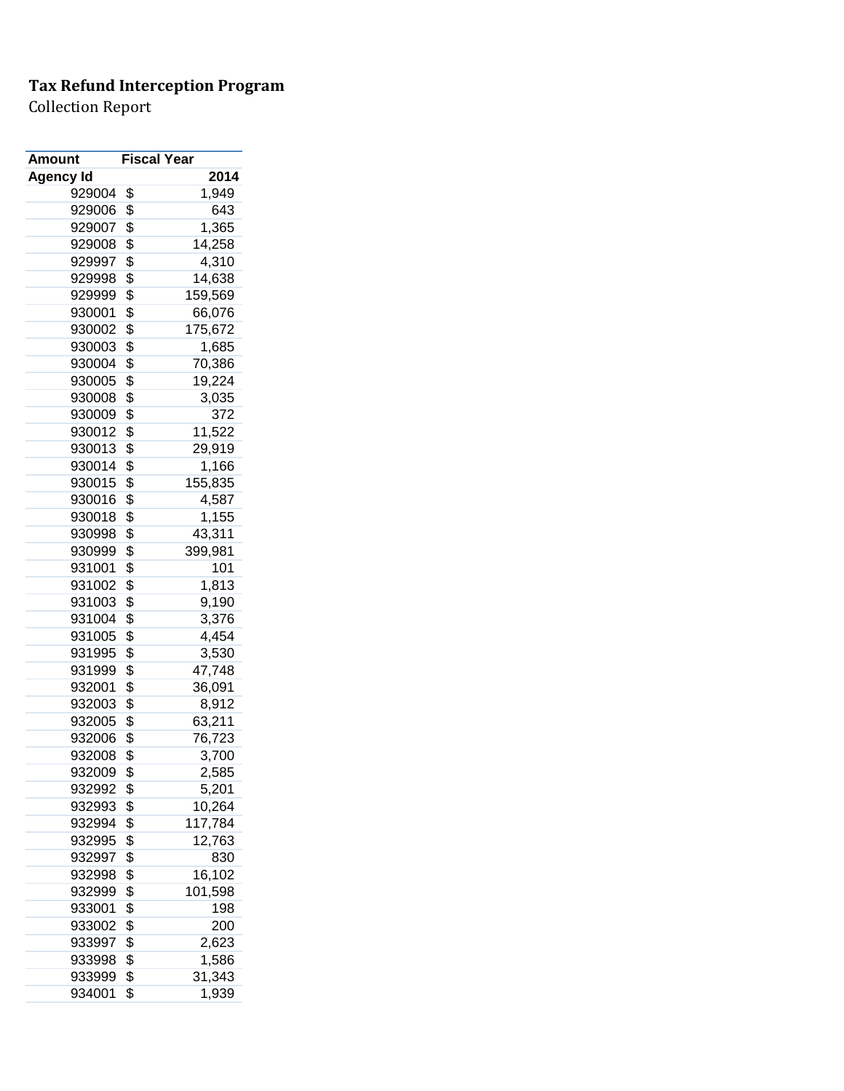| <b>Amount</b> | <b>Fiscal Year</b> |         |
|---------------|--------------------|---------|
| Agency Id     |                    | 2014    |
| 929004        | \$                 | 1,949   |
| 929006        | \$                 | 643     |
| 929007        | \$                 | 1,365   |
| 929008        | \$                 | 14,258  |
| 929997        | \$                 | 4,310   |
| 929998        | \$                 | 14,638  |
| 929999        | \$                 | 159,569 |
| 930001        | \$                 | 66,076  |
| 930002        | \$                 | 175,672 |
| 930003        | \$                 | 1,685   |
| 930004        | \$                 | 70,386  |
| 930005        | \$                 | 19,224  |
| 930008        | \$                 | 3,035   |
| 930009        | \$                 | 372     |
| 930012        | \$                 | 11,522  |
| 930013        | \$                 | 29,919  |
| 930014        | \$                 | 1,166   |
| 930015        | \$                 | 155,835 |
| 930016        | \$                 | 4,587   |
| 930018        | \$                 | 1,155   |
| 930998        | \$                 | 43,311  |
| 930999        | \$                 | 399,981 |
| 931001        | \$                 | 101     |
| 931002        | \$                 | 1,813   |
| 931003        | \$                 | 9,190   |
| 931004        | \$                 | 3,376   |
| 931005        | \$                 | 4,454   |
| 931995        | \$                 | 3,530   |
| 931999        | \$                 | 47,748  |
| 932001        | \$                 | 36,091  |
| 932003        | \$                 | 8,912   |
| 932005        | \$                 | 63,211  |
| 932006        | \$                 | 76,723  |
| 932008        | \$                 | 3,700   |
| 932009        | \$                 | 2,585   |
| 932992        | \$                 | 5,201   |
| 932993        | \$                 | 10,264  |
| 932994        | \$                 | 117,784 |
| 932995        | \$                 | 12,763  |
| 932997        | \$                 | 830     |
| 932998        | \$                 | 16,102  |
| 932999        | \$                 | 101,598 |
| 933001        | \$                 | 198     |
| 933002        | \$                 | 200     |
| 933997        | \$                 | 2,623   |
| 933998        | \$                 | 1,586   |
| 933999        | \$                 | 31,343  |
| 934001        | \$                 | 1,939   |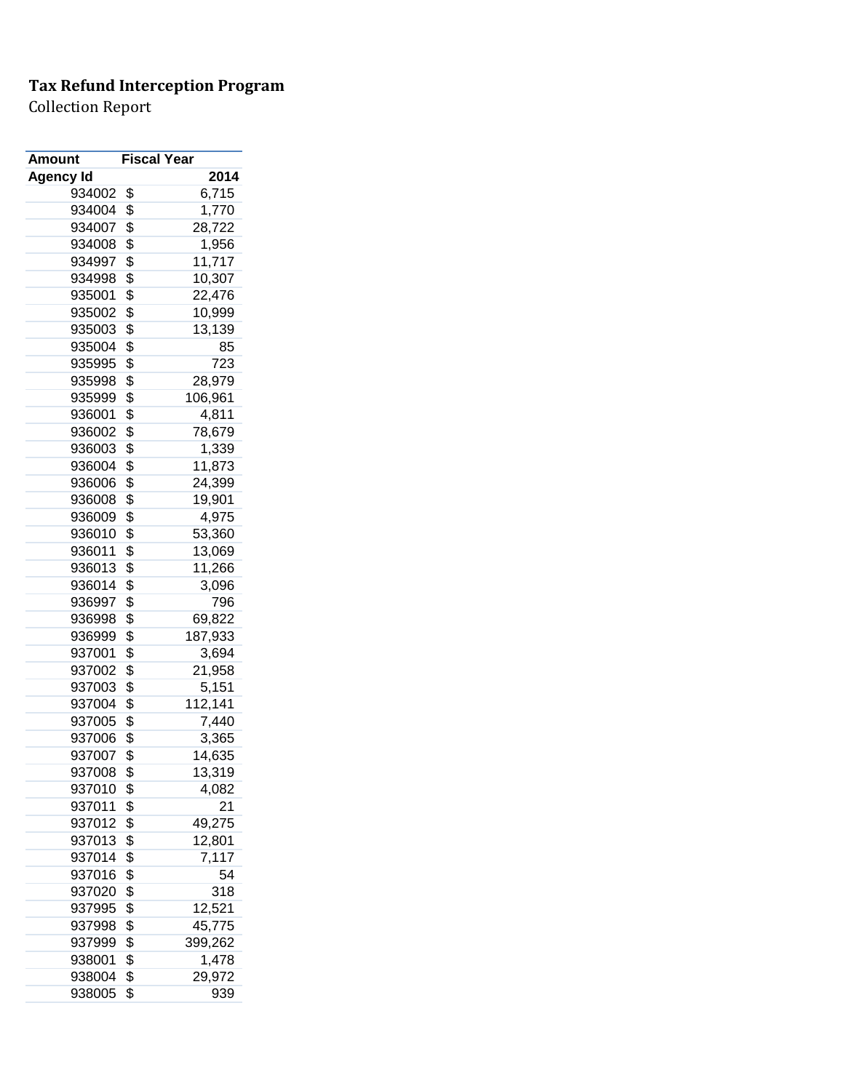| Amount           | <b>Fiscal Year</b> |         |
|------------------|--------------------|---------|
| <b>Agency Id</b> |                    | 2014    |
| 934002           | \$                 | 6,715   |
| 934004           | \$                 | 1,770   |
| 934007           | \$                 | 28,722  |
| 934008           | \$                 | 1,956   |
| 934997           | \$                 | 11,717  |
| 934998           | \$                 | 10,307  |
| 935001           | \$                 | 22,476  |
| 935002           | \$                 | 10,999  |
| 935003           | \$                 | 13,139  |
| 935004           | \$                 | 85      |
| 935995           | \$                 | 723     |
| 935998           | \$                 | 28,979  |
| 935999           | \$                 | 106,961 |
| 936001           | \$                 | 4,811   |
| 936002           | \$                 | 78,679  |
| 936003           | \$                 | 1,339   |
| 936004           | \$                 | 11,873  |
| 936006           | \$                 | 24,399  |
| 936008           | \$                 | 19,901  |
| 936009           | \$                 |         |
|                  | \$                 | 4,975   |
| 936010           |                    | 53,360  |
| 936011           | \$                 | 13,069  |
| 936013           | \$                 | 11,266  |
| 936014           | \$                 | 3,096   |
| 936997           | \$                 | 796     |
| 936998           | \$                 | 69,822  |
| 936999           | \$                 | 187,933 |
| 937001           | \$                 | 3,694   |
| 937002           | \$                 | 21,958  |
| 937003           | \$                 | 5,151   |
| 937004           | \$                 | 112,141 |
| 937005           | \$                 | 7,440   |
| 937006           | \$                 | 3,365   |
| 937007           | \$                 | 14,635  |
| 937008           | \$                 | 13,319  |
| 937010           | \$                 | 4,082   |
| 937011           | \$                 | 21      |
| 937012           | \$                 | 49,275  |
| 937013           | \$                 | 12,801  |
| 937014           | \$                 | 7,117   |
| 937016           | \$                 | 54      |
| 937020           | \$                 | 318     |
| 937995           | \$                 | 12,521  |
| 937998           | \$                 | 45,775  |
| 937999           | \$                 | 399,262 |
| 938001           | \$                 | 1,478   |
| 938004           | \$                 | 29,972  |
| 938005           | \$                 | 939     |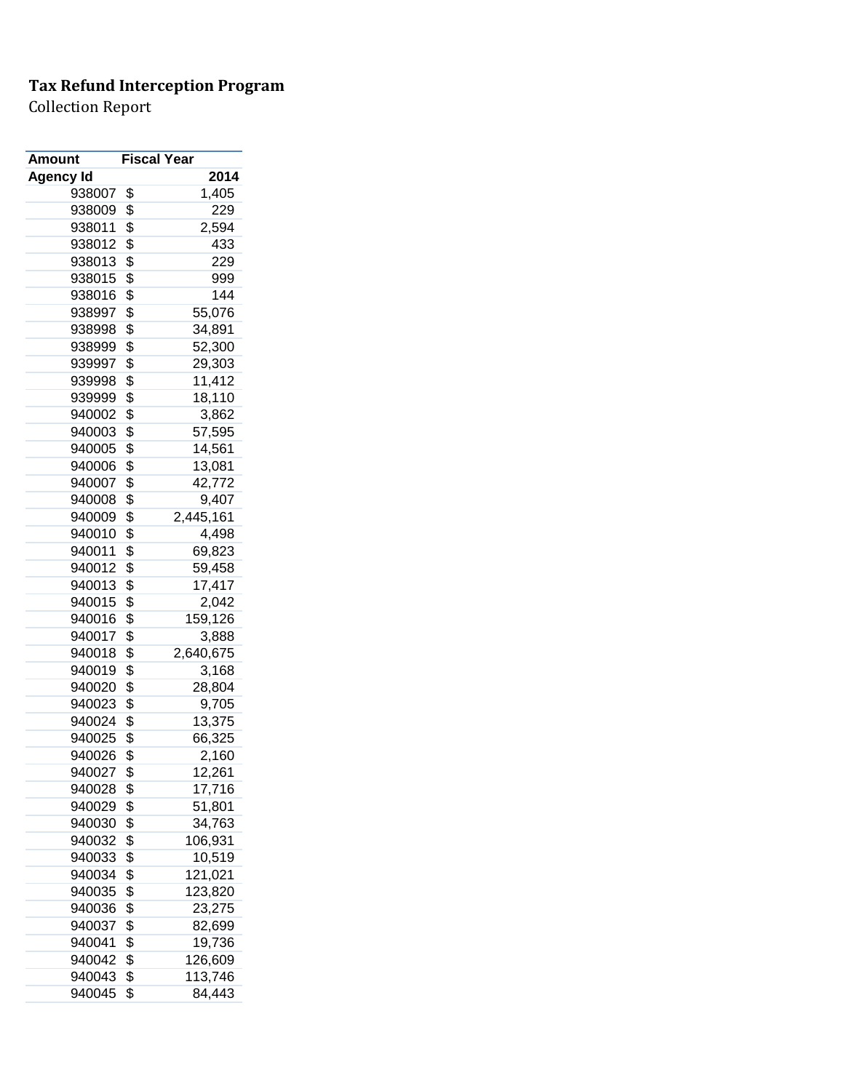| Amount           | <b>Fiscal Year</b> |           |
|------------------|--------------------|-----------|
| <b>Agency Id</b> |                    | 2014      |
| 938007           | \$                 | 1,405     |
| 938009           | \$                 | 229       |
| 938011           | \$                 | 2,594     |
| 938012           | \$                 | 433       |
| 938013           | \$                 | 229       |
| 938015           | \$                 | 999       |
| 938016           | \$                 | 144       |
| 938997           | \$                 | 55,076    |
| 938998           | \$                 | 34,891    |
| 938999           | \$                 | 52,300    |
| 939997           | \$                 | 29,303    |
| 939998           | \$                 | 11,412    |
| 939999           | \$                 | 18,110    |
| 940002           | \$                 | 3,862     |
| 940003           | \$                 | 57,595    |
| 940005           | \$                 | 14,561    |
| 940006           | \$                 | 13,081    |
| 940007           | \$                 | 42,772    |
| 940008           | \$                 | 9,407     |
| 940009           | \$                 | 2,445,161 |
| 940010           | \$                 | 4,498     |
| 940011           | \$                 | 69,823    |
| 940012           | \$                 | 59,458    |
| 940013           | \$                 | 17,417    |
| 940015           | \$                 | 2,042     |
| 940016           | \$                 | 159,126   |
| 940017           | \$                 | 3,888     |
| 940018           | \$                 | 2,640,675 |
| 940019           | \$                 | 3,168     |
| 940020           | \$                 | 28,804    |
| 940023           | \$                 | 9,705     |
| 940024           | \$                 | 13,375    |
| 940025           | \$                 | 66,325    |
| 940026           | \$                 | 2,160     |
| 940027           | \$                 | 12,261    |
| 940028           | \$                 | 17,716    |
| 940029           | \$                 | 51,801    |
| 940030           | \$                 | 34,763    |
| 940032           | \$                 | 106,931   |
| 940033           | \$                 | 10,519    |
| 940034           | \$                 | 121,021   |
| 940035           | \$                 | 123,820   |
| 940036           | \$                 | 23,275    |
| 940037           | \$                 | 82,699    |
| 940041           | \$                 | 19,736    |
| 940042           | \$                 | 126,609   |
| 940043           | \$                 | 113,746   |
| 940045           | \$                 | 84,443    |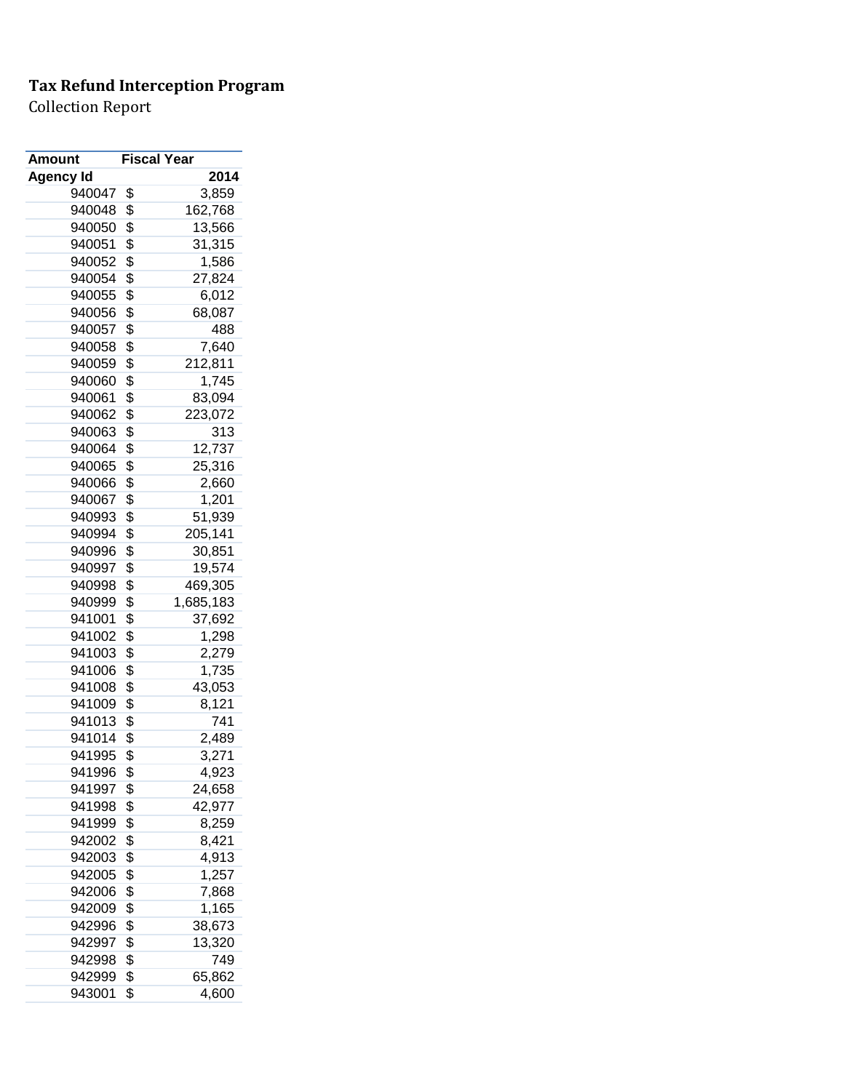| <b>Amount</b>    | <b>Fiscal Year</b> |           |
|------------------|--------------------|-----------|
| <b>Agency Id</b> |                    | 2014      |
| 940047           | \$                 | 3,859     |
| 940048           | \$                 | 162,768   |
| 940050           | \$                 | 13,566    |
| 940051           | \$                 | 31,315    |
| 940052           | \$                 | 1,586     |
| 940054           | \$                 | 27,824    |
| 940055           | \$                 | 6,012     |
| 940056           | \$                 | 68,087    |
| 940057           | \$                 | 488       |
| 940058           | \$                 | 7,640     |
| 940059           | \$                 | 212,811   |
| 940060           | \$                 | 1,745     |
| 940061           | \$                 | 83,094    |
| 940062           | \$                 | 223,072   |
| 940063           | \$                 | 313       |
| 940064           | \$                 | 12,737    |
| 940065           | \$                 | 25,316    |
| 940066           | \$                 | 2,660     |
| 940067           | \$                 | 1,201     |
| 940993           | \$                 |           |
|                  |                    | 51,939    |
| 940994           | \$                 | 205,141   |
| 940996           | \$                 | 30,851    |
| 940997           | \$                 | 19,574    |
| 940998           | \$                 | 469,305   |
| 940999           | \$                 | 1,685,183 |
| 941001           | \$                 | 37,692    |
| 941002           | \$                 | 1,298     |
| 941003           | \$                 | 2,279     |
| 941006           | \$                 | 1,735     |
| 941008           | \$                 | 43,053    |
| 941009           | \$                 | 8,121     |
| 941013           | \$                 | 741       |
| 941014           | \$                 | 2,489     |
| 941995           | \$                 | 3,271     |
| 941996           | \$                 | 4,923     |
| 941997           | \$                 | 24,658    |
| 941998           | \$                 | 42,977    |
| 941999           | \$                 | 8,259     |
| 942002           | \$                 | 8,421     |
| 942003           | \$                 | 4,913     |
| 942005           | \$                 | 1,257     |
| 942006           | \$                 | 7,868     |
| 942009           | \$                 | 1,165     |
| 942996           | \$                 | 38,673    |
| 942997           | \$                 | 13,320    |
| 942998           | \$                 | 749       |
| 942999           | \$                 | 65,862    |
| 943001           | \$                 | 4,600     |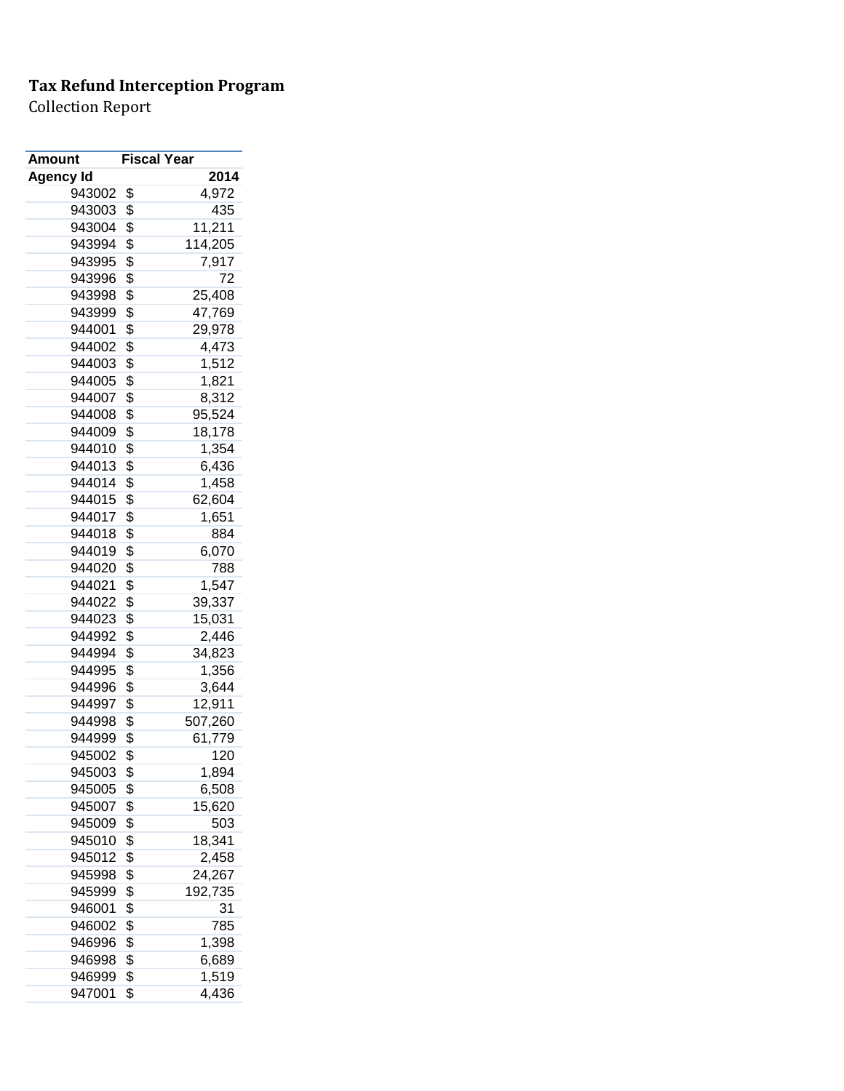| Amount           | <b>Fiscal Year</b> |
|------------------|--------------------|
| <b>Agency Id</b> | 2014               |
| 943002           | \$<br>4,972        |
| 943003           | \$<br>435          |
| 943004           | \$<br>11,211       |
| 943994           | \$<br>114,205      |
| 943995           | \$<br>7,917        |
| 943996           | \$<br>72           |
| 943998           | \$<br>25,408       |
| 943999           | \$<br>47,769       |
| 944001           | \$<br>29,978       |
| 944002           | \$<br>4,473        |
| 944003           | \$<br>1,512        |
| 944005           | \$<br>1,821        |
| 944007           | \$<br>8,312        |
| 944008           | \$<br>95,524       |
| 944009           | \$<br>18,178       |
| 944010           | \$<br>1,354        |
| 944013           | \$<br>6,436        |
| 944014           | \$<br>1,458        |
| 944015           | \$<br>62,604       |
| 944017           | \$<br>1,651        |
| 944018           | \$<br>884          |
| 944019           | \$<br>6,070        |
| 944020           | \$<br>788          |
| 944021           | \$<br>1,547        |
| 944022           | \$<br>39,337       |
| 944023           | \$<br>15,031       |
| 944992           | \$<br>2,446        |
| 944994           | \$<br>34,823       |
| 944995           | \$<br>1,356        |
| 944996           | \$<br>3,644        |
| 944997           | \$<br>12,911       |
| 944998           | \$<br>507,260      |
| 944999           | \$<br>61,779       |
| 945002           | \$<br>120          |
| 945003           | \$<br>1,894        |
| 945005           | \$<br>6,508        |
| 945007           | \$<br>15,620       |
| 945009           | \$<br>503          |
| 945010           | \$<br>18,341       |
| 945012           | \$<br>2,458        |
| 945998           | \$<br>24,267       |
| 945999           | \$<br>192,735      |
| 946001           | \$<br>31           |
| 946002           | \$<br>785          |
| 946996           | \$<br>1,398        |
| 946998           | \$<br>6,689        |
| 946999           | \$<br>1,519        |
| 947001           | \$<br>4,436        |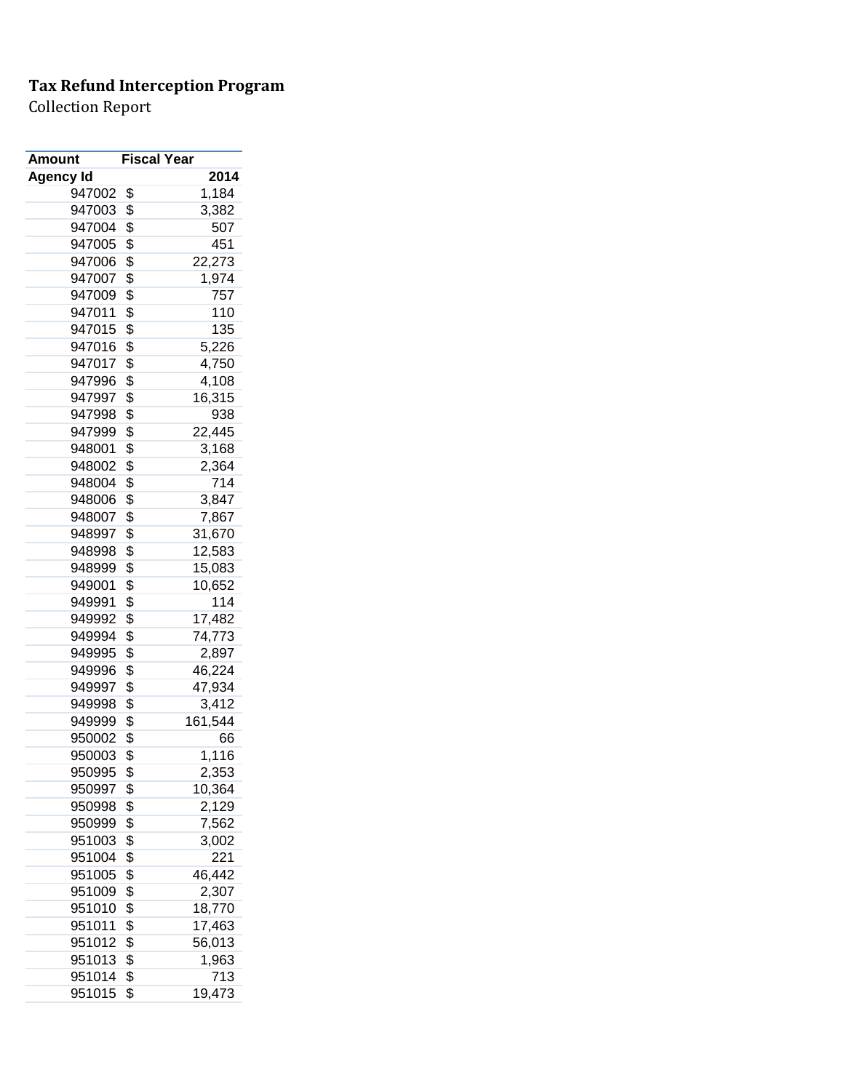| Amount           | <b>Fiscal Year</b> |         |
|------------------|--------------------|---------|
| <b>Agency Id</b> |                    | 2014    |
| 947002           | \$                 | 1,184   |
| 947003           | \$                 | 3,382   |
| 947004           | \$                 | 507     |
| 947005           | \$                 | 451     |
| 947006           | \$                 | 22,273  |
| 947007           | \$                 | 1,974   |
| 947009           | \$                 | 757     |
| 947011           | \$                 | 110     |
| 947015           | \$                 | 135     |
| 947016           | \$                 | 5,226   |
| 947017           | \$                 | 4,750   |
| 947996           | \$                 | 4,108   |
| 947997           | \$                 | 16,315  |
| 947998           | \$                 | 938     |
| 947999           | \$                 | 22,445  |
| 948001           | \$                 | 3,168   |
| 948002           | \$                 | 2,364   |
| 948004           | \$                 | 714     |
| 948006           | \$                 | 3,847   |
| 948007           | \$                 | 7,867   |
| 948997           | \$                 | 31,670  |
| 948998           | \$                 | 12,583  |
| 948999           | \$                 | 15,083  |
| 949001           | \$                 | 10,652  |
| 949991           | \$                 | 114     |
| 949992           | \$                 | 17,482  |
| 949994           | \$                 | 74,773  |
| 949995           | \$                 | 2,897   |
| 949996           | \$                 | 46,224  |
| 949997           | \$                 | 47,934  |
| 949998           | \$                 | 3,412   |
| 949999           | \$                 | 161,544 |
| 950002           | \$                 | 66      |
| 950003           | \$                 | 1,116   |
| 950995           | \$                 | 2,353   |
| 950997           | \$                 | 10,364  |
| 950998           | \$                 | 2,129   |
| 950999           | \$                 | 7,562   |
| 951003           | \$                 | 3,002   |
| 951004           | \$                 | 221     |
| 951005           | \$                 | 46,442  |
| 951009           | \$                 | 2,307   |
| 951010           | \$                 | 18,770  |
| 951011           | \$                 | 17,463  |
| 951012           | \$                 | 56,013  |
| 951013           | \$                 | 1,963   |
| 951014           | \$                 | 713     |
| 951015           | \$                 | 19,473  |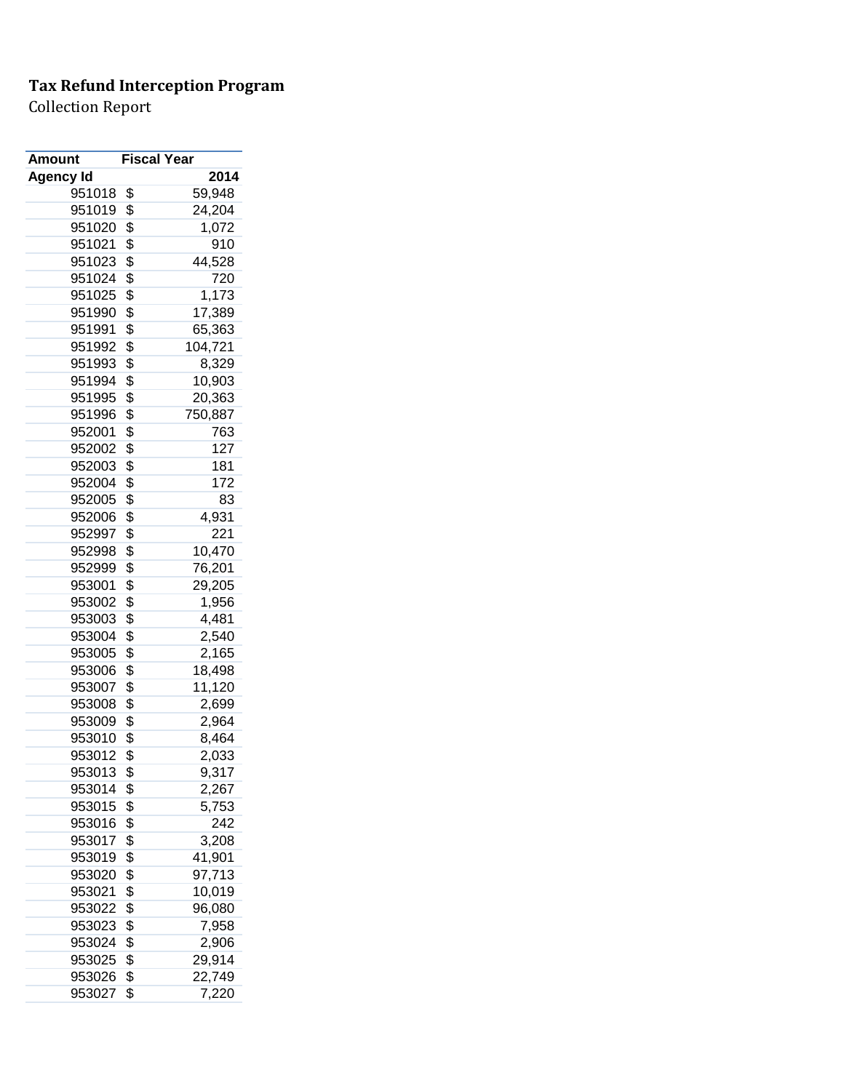| Amount           | <b>Fiscal Year</b> |         |
|------------------|--------------------|---------|
| <b>Agency Id</b> |                    | 2014    |
| 951018           | \$                 | 59,948  |
| 951019           | \$                 | 24,204  |
| 951020           | \$                 | 1,072   |
| 951021           | \$                 | 910     |
| 951023           | \$                 | 44,528  |
| 951024           | \$                 | 720     |
| 951025           | \$                 | 1,173   |
| 951990           | \$                 | 17,389  |
| 951991           | \$                 | 65,363  |
| 951992           | \$                 | 104,721 |
| 951993           | \$                 | 8,329   |
| 951994           | \$                 | 10,903  |
| 951995           | \$                 | 20,363  |
| 951996           | \$                 | 750,887 |
| 952001           | \$                 | 763     |
| 952002           | \$                 | 127     |
| 952003           | \$                 | 181     |
| 952004           | \$                 | 172     |
| 952005           | \$                 | 83      |
| 952006           | \$                 | 4,931   |
| 952997           | \$                 | 221     |
| 952998           | \$                 | 10,470  |
| 952999           | \$                 | 76,201  |
| 953001           | \$                 | 29,205  |
| 953002           | \$                 | 1,956   |
| 953003           | \$                 | 4,481   |
| 953004           | \$                 | 2,540   |
| 953005           | \$                 | 2,165   |
| 953006           | \$                 | 18,498  |
| 953007           | \$                 | 11,120  |
| 953008           | \$                 | 2,699   |
| 953009           | \$                 | 2,964   |
| 953010           | \$                 | 8,464   |
| 953012           | \$                 | 2,033   |
| 953013           | \$                 | 9,317   |
| 953014           | \$                 | 2,267   |
| 953015           | \$                 | 5,753   |
| 953016           | \$                 | 242     |
| 953017           | \$                 | 3,208   |
| 953019           | \$                 | 41,901  |
| 953020           | \$                 | 97,713  |
| 953021           | \$                 | 10,019  |
| 953022           | \$                 | 96,080  |
| 953023           | \$                 | 7,958   |
| 953024           | \$                 | 2,906   |
| 953025           | \$                 | 29,914  |
| 953026           | \$                 | 22,749  |
| 953027           | \$                 | 7,220   |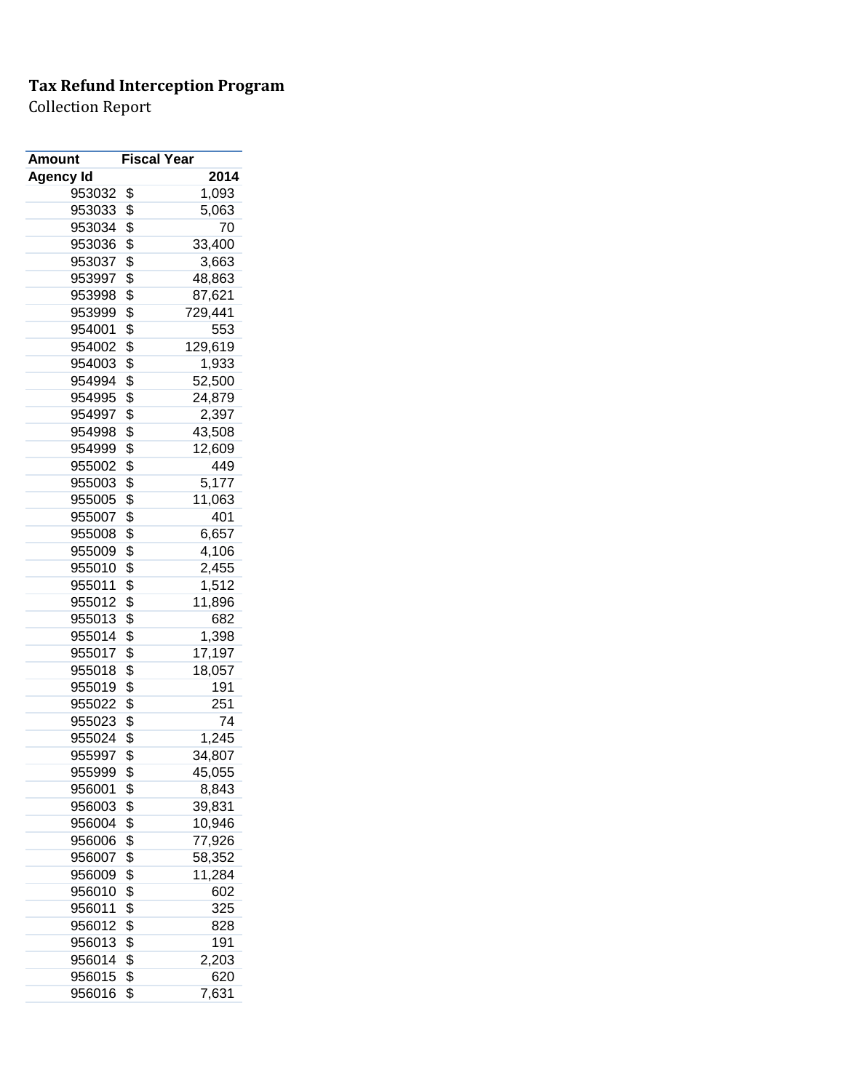| <b>Amount</b> | <b>Fiscal Year</b> |
|---------------|--------------------|
| Agency Id     | 2014               |
| 953032        | \$<br>1,093        |
| 953033        | \$<br>5,063        |
| 953034        | \$<br>70           |
| 953036        | \$<br>33,400       |
| 953037        | \$<br>3,663        |
| 953997        | \$<br>48,863       |
| 953998        | \$<br>87,621       |
| 953999        | \$<br>729,441      |
| 954001        | \$<br>553          |
| 954002        | \$<br>129,619      |
| 954003        | \$<br>1,933        |
| 954994        | \$<br>52,500       |
| 954995        | \$<br>24,879       |
| 954997        | \$<br>2,397        |
| 954998        | \$<br>43,508       |
| 954999        | \$<br>12,609       |
| 955002        | \$<br>449          |
| 955003        | \$<br>5,177        |
| 955005        | \$<br>11,063       |
| 955007        | \$<br>401          |
| 955008        | \$<br>6,657        |
| 955009        | \$<br>4,106        |
| 955010        | \$<br>2,455        |
| 955011        | \$<br>1,512        |
| 955012        | \$<br>11,896       |
| 955013        | \$<br>682          |
| 955014        | \$<br>1,398        |
| 955017        | \$<br>17,197       |
| 955018        | \$<br>18,057       |
| 955019        | \$<br>191          |
| 955022        | \$<br>251          |
| 955023        | \$<br>74           |
| 955024        | \$<br>1,245        |
| 955997        | \$<br>34,807       |
| 955999        | \$<br>45,055       |
| 956001        | \$<br>8,843        |
| 956003        | \$<br>39,831       |
| 956004        | \$<br>10,946       |
| 956006        | \$<br>77,926       |
| 956007        | \$<br>58,352       |
| 956009        | \$<br>11,284       |
| 956010        | \$<br>602          |
| 956011        | \$<br>325          |
| 956012        | \$<br>828          |
| 956013        | \$<br>191          |
| 956014        | \$<br>2,203        |
| 956015        | \$<br>620          |
| 956016        | \$<br>7,631        |
|               |                    |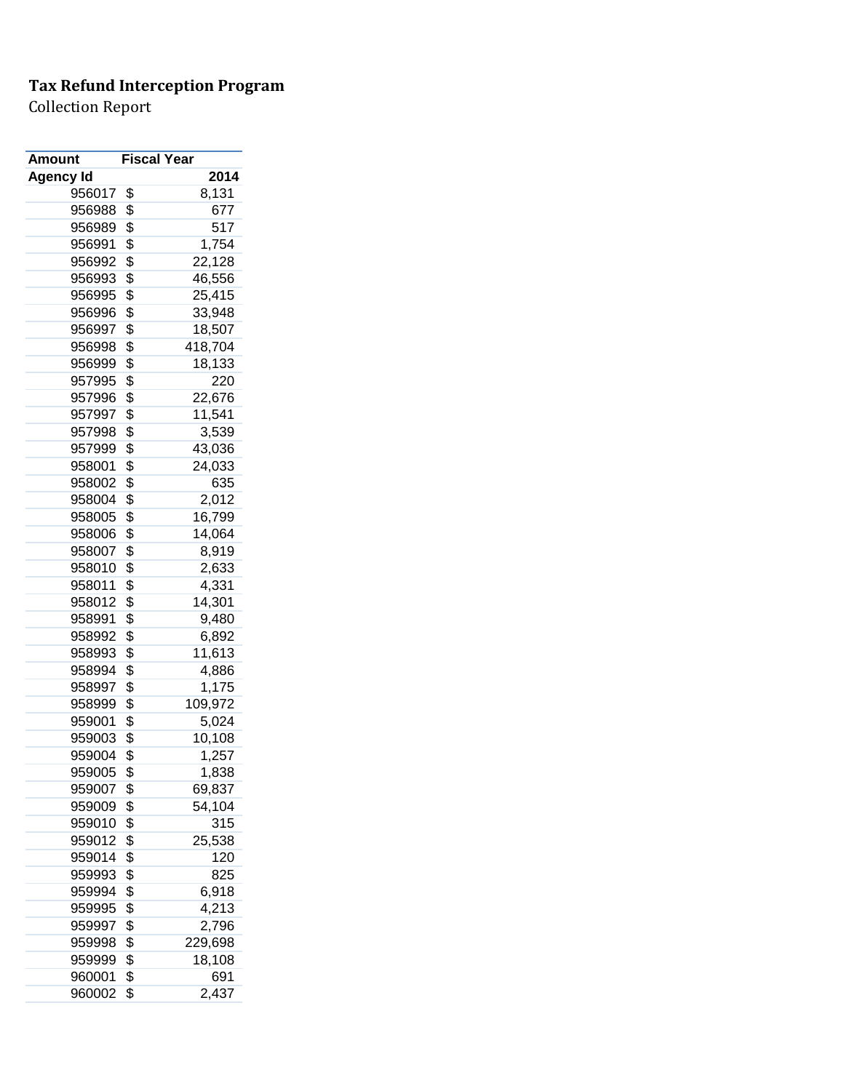| <b>Amount</b> | <b>Fiscal Year</b> |
|---------------|--------------------|
| Agency Id     | 2014               |
| 956017        | \$<br>8,131        |
| 956988        | \$<br>677          |
| 956989        | \$<br>517          |
| 956991        | \$<br>1,754        |
| 956992        | \$<br>22,128       |
| 956993        | \$<br>46,556       |
| 956995        | \$<br>25,415       |
| 956996        | \$<br>33,948       |
| 956997        | \$<br>18,507       |
| 956998        | \$<br>418,704      |
| 956999        | \$<br>18,133       |
| 957995        | \$<br>220          |
| 957996        | \$<br>22,676       |
| 957997        | \$<br>11,541       |
| 957998        | \$<br>3,539        |
| 957999        | \$<br>43,036       |
| 958001        | \$<br>24,033       |
| 958002        | \$<br>635          |
| 958004        | \$<br>2,012        |
| 958005        | \$<br>16,799       |
| 958006        | \$<br>14,064       |
| 958007        | \$<br>8,919        |
| 958010        | \$<br>2,633        |
| 958011        | \$<br>4,331        |
| 958012        | \$<br>14,301       |
| 958991        | \$<br>9,480        |
| 958992        | \$<br>6,892        |
| 958993        | \$<br>11,613       |
| 958994        | \$<br>4,886        |
| 958997        | \$<br>1,175        |
| 958999        | \$<br>109,972      |
| 959001        | \$<br>5,024        |
| 959003        | \$<br>10,108       |
| 959004        | \$<br>1,257        |
| 959005        | \$<br>1,838        |
| 959007        | \$<br>69,837       |
| 959009        | \$<br>54,104       |
| 959010        | \$<br>315          |
| 959012        | \$<br>25,538       |
| 959014        | \$<br>120          |
| 959993        | \$<br>825          |
| 959994        | \$<br>6,918        |
| 959995        | \$<br>4,213        |
| 959997        | \$<br>2,796        |
| 959998        | \$<br>229,698      |
| 959999        | \$<br>18,108       |
| 960001        | \$<br>691          |
| 960002        | \$<br>2,437        |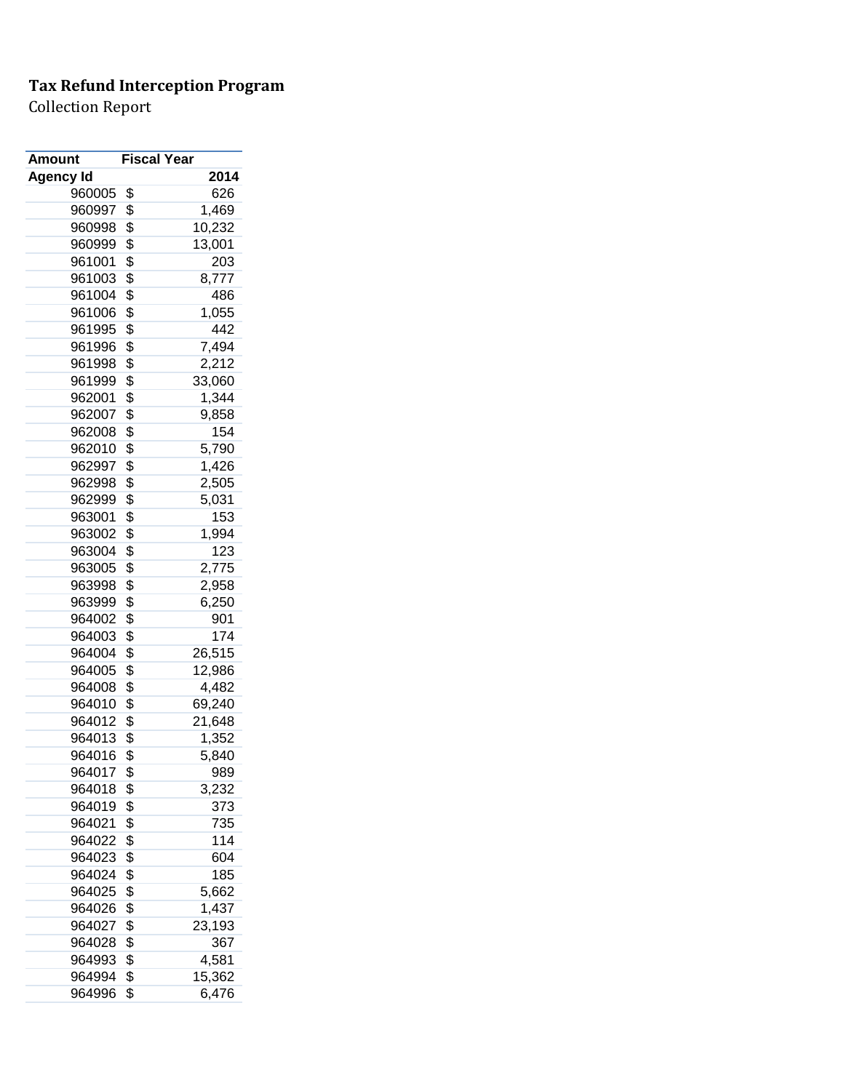| Amount           | <b>Fiscal Year</b> |        |
|------------------|--------------------|--------|
| <b>Agency Id</b> |                    | 2014   |
| 960005           | \$                 | 626    |
| 960997           | \$                 | 1,469  |
| 960998           | \$                 | 10,232 |
| 960999           | \$                 | 13,001 |
| 961001           | \$                 | 203    |
| 961003           | \$                 | 8,777  |
| 961004           | \$                 | 486    |
| 961006           | \$                 | 1,055  |
| 961995           | \$                 | 442    |
| 961996           | \$                 | 7,494  |
| 961998           | \$                 | 2,212  |
| 961999           | \$                 | 33,060 |
| 962001           | \$                 | 1,344  |
| 962007           | \$                 | 9,858  |
| 962008           | \$                 | 154    |
| 962010           | \$                 | 5,790  |
| 962997           | \$                 | 1,426  |
| 962998           | \$                 | 2,505  |
| 962999           | \$                 | 5,031  |
| 963001           | \$                 | 153    |
| 963002           | \$                 | 1,994  |
| 963004           | \$                 | 123    |
| 963005           | \$                 | 2,775  |
| 963998           | \$                 | 2,958  |
| 963999           | \$                 | 6,250  |
| 964002           | \$                 | 901    |
| 964003           | \$                 | 174    |
| 964004           | \$                 | 26,515 |
| 964005           | \$                 | 12,986 |
| 964008           | \$                 | 4,482  |
| 964010           | \$                 | 69,240 |
| 964012           | \$                 | 21,648 |
| 964013           | \$                 | 1,352  |
| 964016           | \$                 | 5,840  |
| 964017           | \$                 | 989    |
| 964018           | \$                 | 3,232  |
| 964019           | \$                 | 373    |
| 964021           | \$                 | 735    |
| 964022           | \$                 | 114    |
| 964023           | \$                 | 604    |
| 964024           | \$                 | 185    |
| 964025           | \$                 | 5,662  |
| 964026           | \$                 | 1,437  |
| 964027           | \$                 | 23,193 |
| 964028           | \$                 | 367    |
| 964993           | \$                 | 4,581  |
| 964994           | \$                 | 15,362 |
| 964996           | \$                 | 6,476  |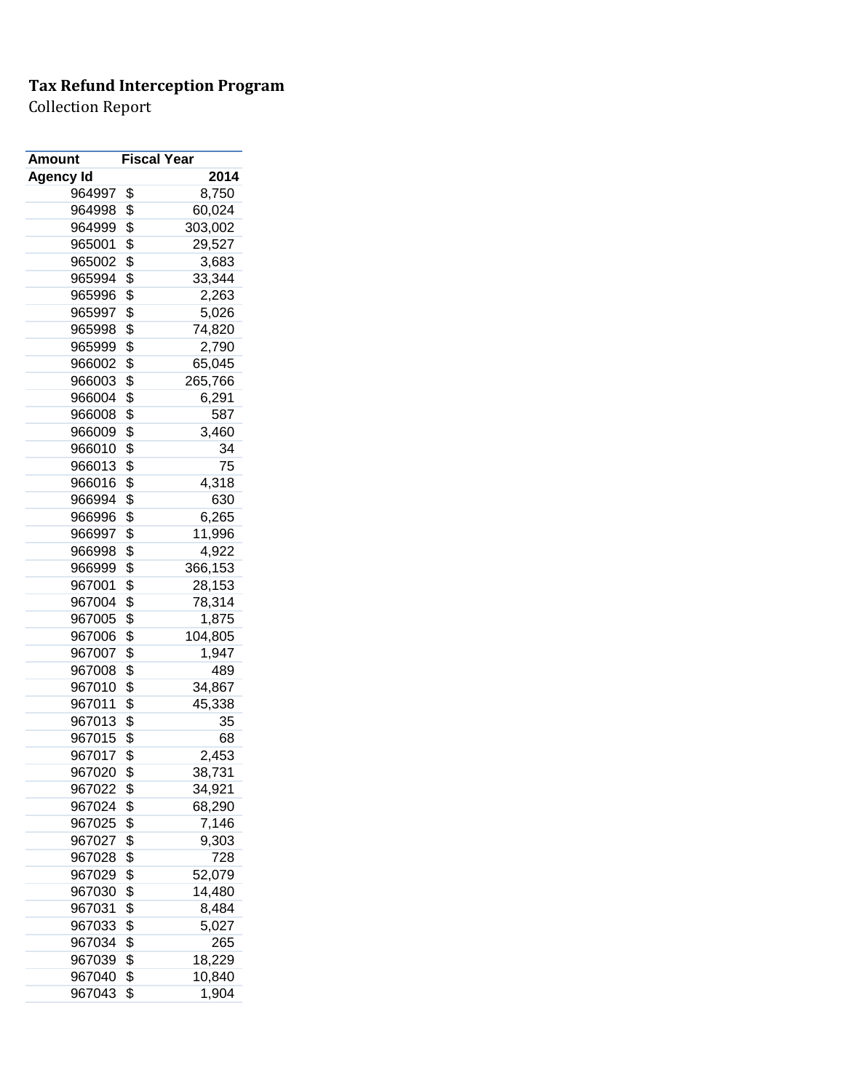| Amount           | <b>Fiscal Year</b> |         |
|------------------|--------------------|---------|
| <b>Agency Id</b> |                    | 2014    |
| 964997           | \$                 | 8,750   |
| 964998           | \$                 | 60,024  |
| 964999           | \$                 | 303,002 |
| 965001           | \$                 | 29,527  |
| 965002           | \$                 | 3,683   |
| 965994           | \$                 | 33,344  |
| 965996           | \$                 | 2,263   |
| 965997           | \$                 | 5,026   |
| 965998           | \$                 | 74,820  |
| 965999           | \$                 | 2,790   |
| 966002           | \$                 | 65,045  |
| 966003           | \$                 | 265,766 |
| 966004           | \$                 | 6,291   |
| 966008           | \$                 | 587     |
| 966009           | \$                 | 3,460   |
| 966010           | \$                 | 34      |
| 966013           | \$                 | 75      |
| 966016           | \$                 | 4,318   |
| 966994           | \$                 | 630     |
| 966996           | \$                 | 6,265   |
| 966997           | \$                 | 11,996  |
| 966998           | \$                 | 4,922   |
| 966999           | \$                 | 366,153 |
| 967001           | \$                 | 28,153  |
| 967004           | \$                 | 78,314  |
| 967005           | \$                 | 1,875   |
| 967006           | \$                 | 104,805 |
| 967007           | \$                 | 1,947   |
| 967008           | \$                 | 489     |
| 967010           | \$                 | 34,867  |
| 967011           | \$                 | 45,338  |
| 967013           | \$                 | 35      |
| 967015           | \$                 | 68      |
| 967017           | \$                 | 2,453   |
| 967020           | \$                 | 38,731  |
| 967022           | \$                 | 34,921  |
| 967024           | \$                 | 68,290  |
| 967025           | \$                 | 7,146   |
| 967027           | \$                 | 9,303   |
| 967028           | \$                 | 728     |
| 967029           | \$                 | 52,079  |
| 967030           | \$                 | 14,480  |
| 967031           | \$                 | 8,484   |
| 967033           | \$                 | 5,027   |
| 967034           | \$                 | 265     |
| 967039           | \$                 | 18,229  |
| 967040           | \$                 | 10,840  |
| 967043           | \$                 | 1,904   |
|                  |                    |         |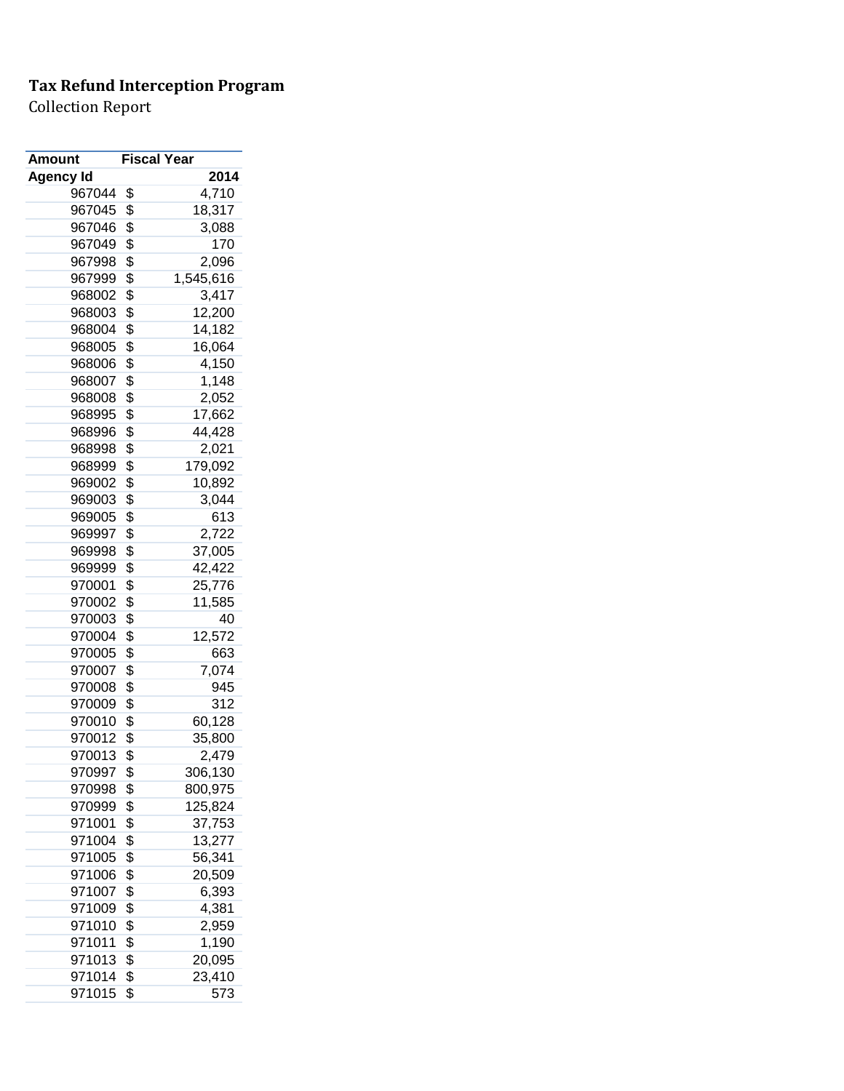| Amount           | <b>Fiscal Year</b> |           |
|------------------|--------------------|-----------|
| <b>Agency Id</b> |                    | 2014      |
| 967044           | \$                 | 4,710     |
| 967045           | \$                 | 18,317    |
| 967046           | \$                 | 3,088     |
| 967049           | \$                 | 170       |
| 967998           | \$                 | 2,096     |
| 967999           | \$                 | 1,545,616 |
| 968002           | \$                 | 3,417     |
| 968003           | \$                 | 12,200    |
| 968004           | \$                 | 14,182    |
| 968005           | \$                 | 16,064    |
| 968006           | \$                 | 4,150     |
| 968007           | \$                 | 1,148     |
| 968008           | \$                 | 2,052     |
| 968995           | \$                 | 17,662    |
| 968996           | \$                 | 44,428    |
| 968998           | \$                 | 2,021     |
| 968999           | \$                 | 179,092   |
| 969002           | \$                 | 10,892    |
| 969003           | \$                 | 3,044     |
| 969005           | \$                 | 613       |
| 969997           | \$                 | 2,722     |
| 969998           | \$                 | 37,005    |
| 969999           | \$                 | 42,422    |
| 970001           | \$                 | 25,776    |
| 970002           | \$                 | 11,585    |
| 970003           | \$                 | 40        |
| 970004           | \$                 | 12,572    |
| 970005           | \$                 | 663       |
| 970007           | \$                 | 7,074     |
| 970008           | \$                 | 945       |
| 970009           | \$                 | 312       |
| 970010           | \$                 | 60,128    |
| 970012           | \$                 | 35,800    |
| 970013           | \$                 | 2,479     |
| 970997           | \$                 | 306,130   |
| 970998           | \$                 | 800,975   |
| 970999           | \$                 | 125,824   |
| 971001           | \$                 | 37,753    |
| 971004           | \$                 |           |
| 971005           | \$                 | 13,277    |
|                  |                    | 56,341    |
| 971006           | \$                 | 20,509    |
| 971007           | \$                 | 6,393     |
| 971009           | \$                 | 4,381     |
| 971010           | \$                 | 2,959     |
| 971011           | \$                 | 1,190     |
| 971013           | \$                 | 20,095    |
| 971014           | \$                 | 23,410    |
| 971015           | \$                 | 573       |